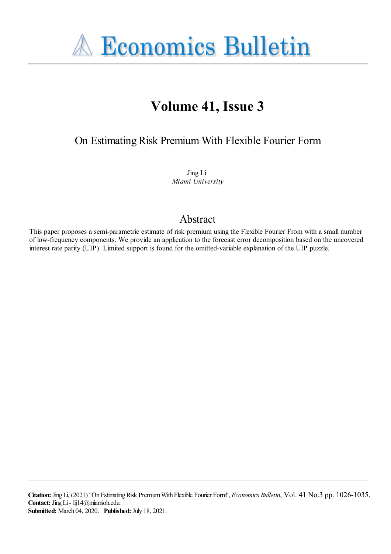**A Economics Bulletin** 

# **Volume 41, Issue 3**

On Estimating Risk Premium With Flexible Fourier Form

Jing Li *Miami University*

# Abstract

This paper proposes a semi-parametric estimate of risk premium using the Flexible Fourier From with a small number of low-frequency components. We provide an application to the forecast error decomposition based on the uncovered interest rate parity (UIP). Limited support is found for the omitted-variable explanation of the UIP puzzle.

**Citation:** JingLi, (2021) ''OnEstimatingRisk PremiumWith Flexible Fourier Form'', *Economics Bulletin*, Vol. 41 No.3 pp. 1026-1035. Contact: Jing Li - lij14@miamioh.edu. **Submitted:** March 04, 2020. **Published:** July 18, 2021.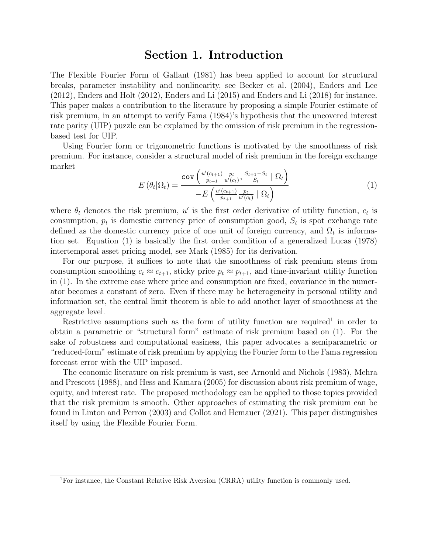#### Section 1. Introduction

The Flexible Fourier Form of Gallant (1981) has been applied to account for structural breaks, parameter instability and nonlinearity, see Becker et al. (2004), Enders and Lee (2012), Enders and Holt (2012), Enders and Li (2015) and Enders and Li (2018) for instance. This paper makes a contribution to the literature by proposing a simple Fourier estimate of risk premium, in an attempt to verify Fama (1984)'s hypothesis that the uncovered interest rate parity (UIP) puzzle can be explained by the omission of risk premium in the regressionbased test for UIP.

Using Fourier form or trigonometric functions is motivated by the smoothness of risk premium. For instance, consider a structural model of risk premium in the foreign exchange market

$$
E(\theta_t|\Omega_t) = \frac{\text{cov}\left(\frac{u'(c_{t+1})}{p_{t+1}}\frac{p_t}{u'(c_t)}, \frac{S_{t+1}-S_t}{S_t} \mid \Omega_t\right)}{-E\left(\frac{u'(c_{t+1})}{p_{t+1}}\frac{p_t}{u'(c_t)} \mid \Omega_t\right)}
$$
(1)

where  $\theta_t$  denotes the risk premium, u' is the first order derivative of utility function,  $c_t$  is consumption,  $p_t$  is domestic currency price of consumption good,  $S_t$  is spot exchange rate defined as the domestic currency price of one unit of foreign currency, and  $\Omega_t$  is information set. Equation (1) is basically the first order condition of a generalized Lucas (1978) intertemporal asset pricing model, see Mark (1985) for its derivation.

For our purpose, it suffices to note that the smoothness of risk premium stems from consumption smoothing  $c_t \approx c_{t+1}$ , sticky price  $p_t \approx p_{t+1}$ , and time-invariant utility function in (1). In the extreme case where price and consumption are fixed, covariance in the numerator becomes a constant of zero. Even if there may be heterogeneity in personal utility and information set, the central limit theorem is able to add another layer of smoothness at the aggregate level.

Restrictive assumptions such as the form of utility function are required<sup>1</sup> in order to obtain a parametric or "structural form" estimate of risk premium based on (1). For the sake of robustness and computational easiness, this paper advocates a semiparametric or "reduced-form" estimate of risk premium by applying the Fourier form to the Fama regression forecast error with the UIP imposed.

The economic literature on risk premium is vast, see Arnould and Nichols (1983), Mehra and Prescott (1988), and Hess and Kamara (2005) for discussion about risk premium of wage, equity, and interest rate. The proposed methodology can be applied to those topics provided that the risk premium is smooth. Other approaches of estimating the risk premium can be found in Linton and Perron (2003) and Collot and Hemauer (2021). This paper distinguishes itself by using the Flexible Fourier Form.

<sup>1</sup>For instance, the Constant Relative Risk Aversion (CRRA) utility function is commonly used.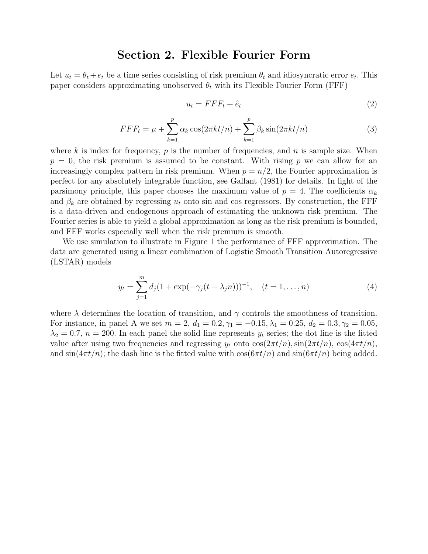### Section 2. Flexible Fourier Form

Let  $u_t = \theta_t + e_t$  be a time series consisting of risk premium  $\theta_t$  and idiosyncratic error  $e_t$ . This paper considers approximating unobserved  $\theta_t$  with its Flexible Fourier Form (FFF)

$$
u_t = FFF_t + \hat{e}_t \tag{2}
$$

$$
FFF_t = \mu + \sum_{k=1}^p \alpha_k \cos(2\pi kt/n) + \sum_{k=1}^p \beta_k \sin(2\pi kt/n)
$$
 (3)

where k is index for frequency, p is the number of frequencies, and n is sample size. When  $p = 0$ , the risk premium is assumed to be constant. With rising p we can allow for an increasingly complex pattern in risk premium. When  $p = n/2$ , the Fourier approximation is perfect for any absolutely integrable function, see Gallant (1981) for details. In light of the parsimony principle, this paper chooses the maximum value of  $p = 4$ . The coefficients  $\alpha_k$ and  $\beta_k$  are obtained by regressing  $u_t$  onto sin and cos regressors. By construction, the FFF is a data-driven and endogenous approach of estimating the unknown risk premium. The Fourier series is able to yield a global approximation as long as the risk premium is bounded, and FFF works especially well when the risk premium is smooth.

We use simulation to illustrate in Figure 1 the performance of FFF approximation. The data are generated using a linear combination of Logistic Smooth Transition Autoregressive (LSTAR) models

$$
y_t = \sum_{j=1}^m d_j (1 + \exp(-\gamma_j(t - \lambda_j n)))^{-1}, \quad (t = 1, ..., n)
$$
 (4)

where  $\lambda$  determines the location of transition, and  $\gamma$  controls the smoothness of transition. For instance, in panel A we set  $m = 2$ ,  $d_1 = 0.2$ ,  $\gamma_1 = -0.15$ ,  $\lambda_1 = 0.25$ ,  $d_2 = 0.3$ ,  $\gamma_2 = 0.05$ ,  $\lambda_2 = 0.7$ ,  $n = 200$ . In each panel the solid line represents  $y_t$  series; the dot line is the fitted value after using two frequencies and regressing  $y_t$  onto  $\cos(2\pi t/n), \sin(2\pi t/n)$ ,  $\cos(4\pi t/n)$ , and  $\sin(4\pi t/n)$ ; the dash line is the fitted value with  $\cos(6\pi t/n)$  and  $\sin(6\pi t/n)$  being added.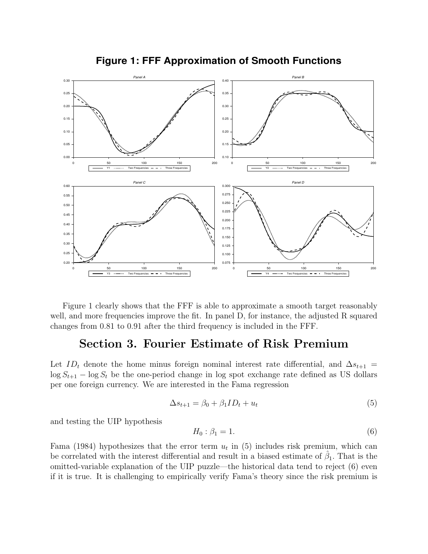

**Figure 1: FFF Approximation of Smooth Functions**

Figure 1 clearly shows that the FFF is able to approximate a smooth target reasonably well, and more frequencies improve the fit. In panel D, for instance, the adjusted R squared changes from 0.81 to 0.91 after the third frequency is included in the FFF.

### Section 3. Fourier Estimate of Risk Premium

Let  $ID_t$  denote the home minus foreign nominal interest rate differential, and  $\Delta s_{t+1}$  =  $\log S_{t+1}$  –  $\log S_t$  be the one-period change in log spot exchange rate defined as US dollars per one foreign currency. We are interested in the Fama regression

$$
\Delta s_{t+1} = \beta_0 + \beta_1 I D_t + u_t \tag{5}
$$

and testing the UIP hypothesis

$$
H_0: \beta_1 = 1. \tag{6}
$$

Fama (1984) hypothesizes that the error term  $u_t$  in (5) includes risk premium, which can be correlated with the interest differential and result in a biased estimate of  $\hat{\beta}_1$ . That is the omitted-variable explanation of the UIP puzzle—the historical data tend to reject (6) even if it is true. It is challenging to empirically verify Fama's theory since the risk premium is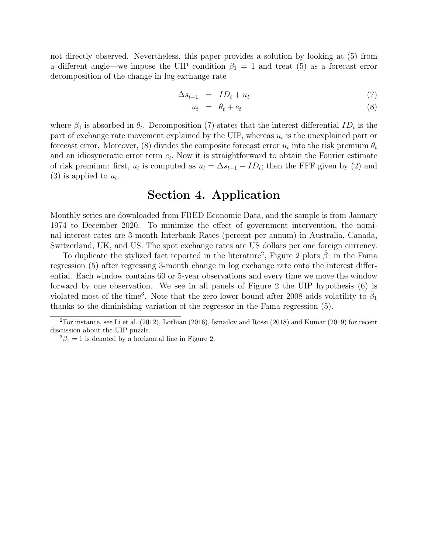not directly observed. Nevertheless, this paper provides a solution by looking at (5) from a different angle—we impose the UIP condition  $\beta_1 = 1$  and treat (5) as a forecast error decomposition of the change in log exchange rate

$$
\Delta s_{t+1} = ID_t + u_t \tag{7}
$$

$$
u_t = \theta_t + e_t \tag{8}
$$

where  $\beta_0$  is absorbed in  $\theta_t$ . Decomposition (7) states that the interest differential  $ID_t$  is the part of exchange rate movement explained by the UIP, whereas  $u_t$  is the unexplained part or forecast error. Moreover, (8) divides the composite forecast error  $u_t$  into the risk premium  $\theta_t$ and an idiosyncratic error term  $e_t$ . Now it is straightforward to obtain the Fourier estimate of risk premium: first,  $u_t$  is computed as  $u_t = \Delta s_{t+1} - ID_t$ ; then the FFF given by (2) and (3) is applied to  $u_t$ .

### Section 4. Application

Monthly series are downloaded from FRED Economic Data, and the sample is from January 1974 to December 2020. To minimize the effect of government intervention, the nominal interest rates are 3-month Interbank Rates (percent per annum) in Australia, Canada, Switzerland, UK, and US. The spot exchange rates are US dollars per one foreign currency.

To duplicate the stylized fact reported in the literature<sup>2</sup>, Figure 2 plots  $\hat{\beta}_1$  in the Fama regression (5) after regressing 3-month change in log exchange rate onto the interest differential. Each window contains 60 or 5-year observations and every time we move the window forward by one observation. We see in all panels of Figure 2 the UIP hypothesis (6) is violated most of the time<sup>3</sup>. Note that the zero lower bound after 2008 adds volatility to  $\hat{\beta}_1$ thanks to the diminishing variation of the regressor in the Fama regression (5).

 ${}^{2}$ For instance, see Li et al. (2012), Lothian (2016), Ismailov and Rossi (2018) and Kumar (2019) for recent discussion about the UIP puzzle.

 ${}^{3}\beta_1 = 1$  is denoted by a horizontal line in Figure 2.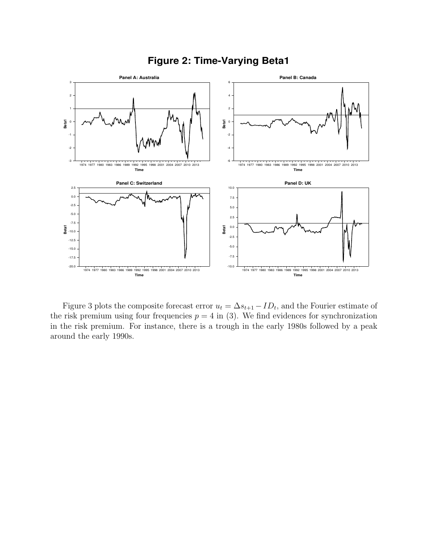

**Figure 2: Time-Varying Beta1**

Figure 3 plots the composite forecast error  $u_t = \Delta s_{t+1} - ID_t$ , and the Fourier estimate of the risk premium using four frequencies  $p = 4$  in (3). We find evidences for synchronization in the risk premium. For instance, there is a trough in the early 1980s followed by a peak around the early 1990s.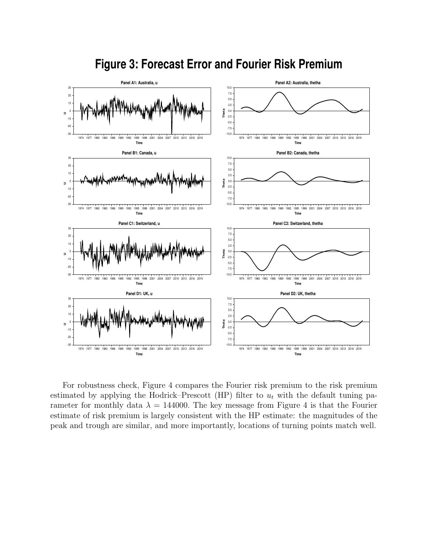

# **Figure 3: Forecast Error and Fourier Risk Premium**

For robustness check, Figure 4 compares the Fourier risk premium to the risk premium estimated by applying the Hodrick–Prescott (HP) filter to  $u_t$  with the default tuning parameter for monthly data  $\lambda = 144000$ . The key message from Figure 4 is that the Fourier estimate of risk premium is largely consistent with the HP estimate: the magnitudes of the peak and trough are similar, and more importantly, locations of turning points match well.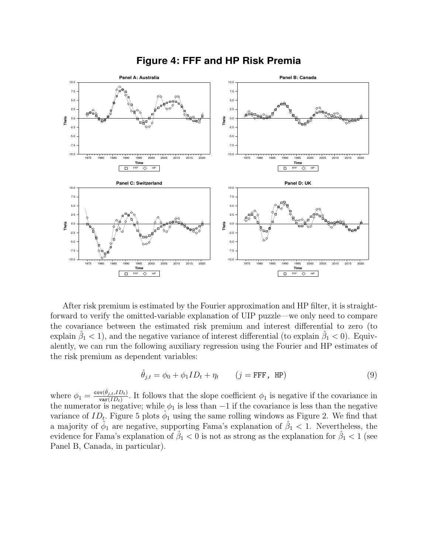

#### **Figure 4: FFF and HP Risk Premia**

After risk premium is estimated by the Fourier approximation and HP filter, it is straightforward to verify the omitted-variable explanation of UIP puzzle—we only need to compare the covariance between the estimated risk premium and interest differential to zero (to explain  $\hat{\beta}_1 < 1$ ), and the negative variance of interest differential (to explain  $\hat{\beta}_1 < 0$ ). Equivalently, we can run the following auxiliary regression using the Fourier and HP estimates of the risk premium as dependent variables:

$$
\hat{\theta}_{j,t} = \phi_0 + \phi_1 I D_t + \eta_t \qquad (j = \text{FFF}, \text{ HP})
$$
\n(9)

where  $\phi_1 = \frac{\text{cov}(\hat{\theta}_{j,t},ID_t)}{\text{var}(ID_t)}$  $\frac{\partial v(\sigma_{j,t}, D_t)}{\partial \text{var}(ID_t)}$ . It follows that the slope coefficient  $\phi_1$  is negative if the covariance in the numerator is negative; while  $\phi_1$  is less than  $-1$  if the covariance is less than the negative variance of  $ID_t$ . Figure 5 plots  $\hat{\phi}_1$  using the same rolling windows as Figure 2. We find that a majority of  $\hat{\phi}_1$  are negative, supporting Fama's explanation of  $\hat{\beta}_1$  < 1. Nevertheless, the evidence for Fama's explanation of  $\hat{\beta}_1 < 0$  is not as strong as the explanation for  $\hat{\beta}_1 < 1$  (see Panel B, Canada, in particular).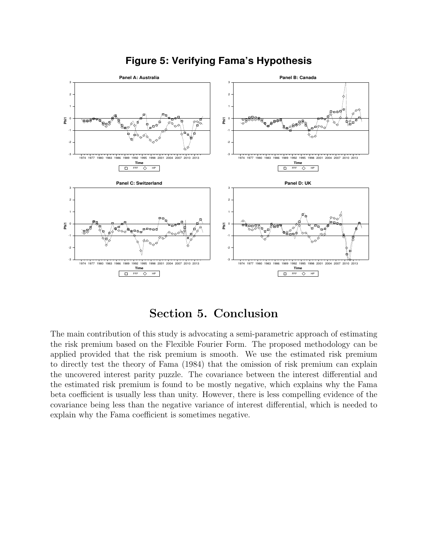

### **Figure 5: Verifying Fama's Hypothesis**

# Section 5. Conclusion

The main contribution of this study is advocating a semi-parametric approach of estimating the risk premium based on the Flexible Fourier Form. The proposed methodology can be applied provided that the risk premium is smooth. We use the estimated risk premium to directly test the theory of Fama (1984) that the omission of risk premium can explain the uncovered interest parity puzzle. The covariance between the interest differential and the estimated risk premium is found to be mostly negative, which explains why the Fama beta coefficient is usually less than unity. However, there is less compelling evidence of the covariance being less than the negative variance of interest differential, which is needed to explain why the Fama coefficient is sometimes negative.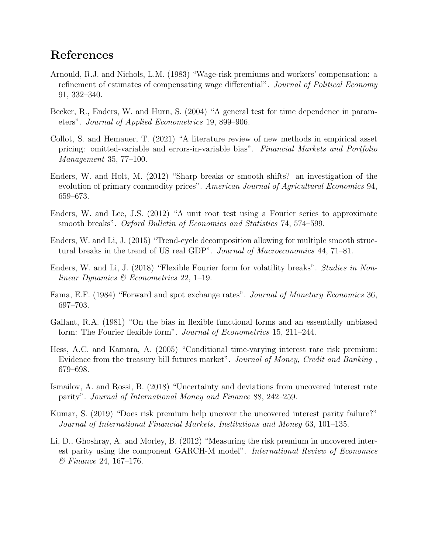## References

- Arnould, R.J. and Nichols, L.M. (1983) "Wage-risk premiums and workers' compensation: a refinement of estimates of compensating wage differential". Journal of Political Economy 91, 332–340.
- Becker, R., Enders, W. and Hurn, S. (2004) "A general test for time dependence in parameters". Journal of Applied Econometrics 19, 899–906.
- Collot, S. and Hemauer, T. (2021) "A literature review of new methods in empirical asset pricing: omitted-variable and errors-in-variable bias". Financial Markets and Portfolio Management 35, 77–100.
- Enders, W. and Holt, M. (2012) "Sharp breaks or smooth shifts? an investigation of the evolution of primary commodity prices". American Journal of Agricultural Economics 94, 659–673.
- Enders, W. and Lee, J.S. (2012) "A unit root test using a Fourier series to approximate smooth breaks". Oxford Bulletin of Economics and Statistics 74, 574–599.
- Enders, W. and Li, J. (2015) "Trend-cycle decomposition allowing for multiple smooth structural breaks in the trend of US real GDP". Journal of Macroeconomics 44, 71–81.
- Enders, W. and Li, J. (2018) "Flexible Fourier form for volatility breaks". Studies in Nonlinear Dynamics & Econometrics 22, 1–19.
- Fama, E.F. (1984) "Forward and spot exchange rates". Journal of Monetary Economics 36, 697–703.
- Gallant, R.A. (1981) "On the bias in flexible functional forms and an essentially unbiased form: The Fourier flexible form". Journal of Econometrics 15, 211–244.
- Hess, A.C. and Kamara, A. (2005) "Conditional time-varying interest rate risk premium: Evidence from the treasury bill futures market". Journal of Money, Credit and Banking , 679–698.
- Ismailov, A. and Rossi, B. (2018) "Uncertainty and deviations from uncovered interest rate parity". Journal of International Money and Finance 88, 242–259.
- Kumar, S. (2019) "Does risk premium help uncover the uncovered interest parity failure?" Journal of International Financial Markets, Institutions and Money 63, 101–135.
- Li, D., Ghoshray, A. and Morley, B. (2012) "Measuring the risk premium in uncovered interest parity using the component GARCH-M model". International Review of Economics & Finance 24, 167–176.